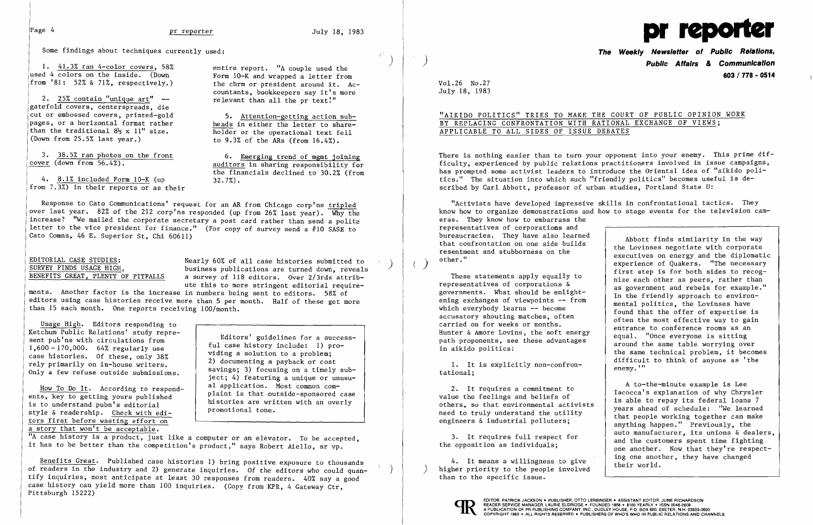Some findings about techniques currently used:

1.  $41.3\%$  ran 4-color covers, 58% entire report. "A couple used the used 4 colors on the inside. (Down from '81: 52% & 71%, respectively.)

Form 10-K and wrapped a letter from the chrm or president around it. Accountants, bookkeepers say it's more

2.  $25\%$  contain "unique art"  $-$  relevant than all the pr text!" gatefold covers, centerspreads, die<br>cut or embossed covers, printed-gold pages, or a horizontal format rather  $\frac{\text{heads}}{\text{holds}}$  in either the letter to share-<br>than the traditional  $8\frac{1}{2}$  x 11" size.  $\frac{\text{heads}}{\text{holder}}$  or the operational text fell than the traditional  $8\frac{1}{2}$  x 11" size. (Down from 25.5% last year.)

3. 38.5% ran photos on the front 6. Emerging trend of mgmt joining<br>cover (down from 56.4%).

5. Attention-getting action sub-<br>heads in either the letter to shareto 9.3% of the ARs (from 16.4%).

auditors in sharing responsibility for the financials declined to  $30.2\%$  (from  $32.7\%$ ).

4. 8.1% included Form 10-K (up from 7.3%) in their reports or as their

EDITORIAL CASE STUDIES:<br>
SURVEY FINDS USAGE HIGH,<br>
BENEFITS GREAT, PLENTY OF PITFALLS a survey of 118 editors. Over 2/3rds attriba survey of 118 editors. Over 2/3rds attribute this to more stringent editorial require-

ments. Another factor is the increase in numbers being sent to editors. 58% of editors using case histories receive more than 5 per month. Half of these get more than 15 each month. One reports receiving 100/month.

Usage High. Editors responding to Ketchum Public Relations' study repre-<br>sent pub'ns with circulations from  $\begin{array}{c|c} \text{Editors' guidelines for a success-} \\ \text{Eul case history include: 1) pro-} \end{array}$  $f(1,600 - 170,000.$  64% regularly use  $f(1,600 - 170,000.$  64% regularly use  $f(2,600)$  viding a solution to a problem: case histories. Of these, only 38% case histories. Of these, only 38% case is a solution to a problem;<br>rely primarily on in-house writers. 2) documenting a payback or cost<br>savings; 3) focusing on a timely sub-Only a few refuse outside submissions.

style & readership. Check with editors first before wasting effort on a story that won't be acceptable. Ì

ject; 4) featuring a unique or unusu-<br>al application. Most common com-How To Do It. According to respond-<br>ents, key to getting yours published<br>is to understand pubn's editorial<br>is that outside-sponsored case<br>is to understand pubn's editorial<br>promotional tone.

"A case history is a product, just like a computer or an elevator. To be accepted, If the interest, it is a product, just like a computer of an elevator. To be accepted it has to be better than the competition's product," says Robert Aiello, sr vp.

Response to Cato Communications' request for an AR from Chicago corp'ns tripled over last year. 82% of the 212 corp'ns responded (up from 26% last year). Why the increase? "We mailed the corporate secretary a post card rather than send a polite letter to the vice president for finance." (For copy of survey send a #10 SASE to Cato Comns, 46 E. Superior St, Chi 60611)

"Activists have developed impressive skills in confrontational tactics. They know how to organize demonstrations and how to stage events for the television cameras. They know how to embarrass the representatives of corporations and<br>bureaucracies. They have also learned bureaucracies. They have also learned<br>that confrontation on one side builds<br>resentment and stubborness on the<br>other."

1. It is explicitly non-confron-

first step is for both sides to recog These statements apply equally to nize each other as peers, rather than representatives of corporations  $\delta$  as government and rebels for example." representatives or corporations &<br>governments. What should be enlight-<br>ening exchanges of viewpoints -- from<br>which everybody learns -- become<br>accuratory shouting matches often<br>accuratory shouting matches often<br>accuratory s accusatory shouting matches, often<br>
carried on for weeks or months.<br>
Hunter & Amore Lovins, the soft energy<br>
path proponents, see these advantages<br>
in aikido politics:<br>
the same technical problem, it becomes 1. It is explicitly non-confron-<br>tational:<br> $\begin{array}{c} \text{difficult to think of anyone as 'the} \\ \text{enemy.'} \end{array}$ 

2. It requires a commitment to  $\begin{array}{c|c} \text{A to-the-minute example is Lee} \end{array}$  a to-the-minute example is Lee Iacocca's explanation of why Chrysler is able to repay its federal loans 7 others, so that environmental activists  $\begin{array}{c|c} \text{A to-the$ others, so that environmental activists<br>need to truly understand the utility<br>engineers & industrial polluters;<br>anything happen." Previously, the<br>auto manufacturer, its unions & dealers, 3. It requires full respect for<br>the opposition as individuals; and the customers spent time fighting<br>one another. Now that they're respect-

4. It means a willingness to give  $\left\{\begin{array}{c} \text{ing one another, they have changed} \\ \text{their world.} \end{array}\right.$ than to the specific issue.



EDITOR, PATRICK JACKSON . PUBLISHER, OTTO LERBINGER . ASSISTANT EDITOR, JUNE RICHARDSON<br>A PLEADER SERVICE MANAGER, LAURIE ELDRIDGE . FOUNDED 1956 . \$100 YEARLY . ISSN 0048-2609<br>A PUBLICATION OF PR PUBLISHING COMPANY, INC.,

Benefits Great. Published case histories 1) bring positive exposure to thousands of readers in the industry and 2) generate inquiries. Of the editors who could quantify inquiries, most anticipate at least 30 responses from readers. 40% say a good case history can yield more than 100 inquiries. (Copy from KPR. 4 Gateway Ctr. Pittsburgh 15222)



**The Weekly Newsletter of Public Relations,**  ) **Public Affairs** *&* **Communication 603 I 778 - 0514** 

Vo1.26 No.27 July 18, 1983

 $($ 

 $\mathcal{L}$ 

"AIKIDO POLITICS" TRIES TO MAKE THE COURT OF PUBLIC OPINION WORK

# BY REPLACING CONFRONTATION WITH RATIONAL EXCHANGE OF VIEWS; APPLICABLE TO ALL SIDES OF ISSUE DEBATES

There is nothing easier than to turn your opponent into your enemy. This prime difficulty. experienced by public relations practitioners involved in issue campaigns. has prompted some activist leaders to introduce the Oriental idea of "aikido politics." The situation into which such "friendly politics" becomes useful is described by Carl Abbott, professor of utban studies, Portland State U: